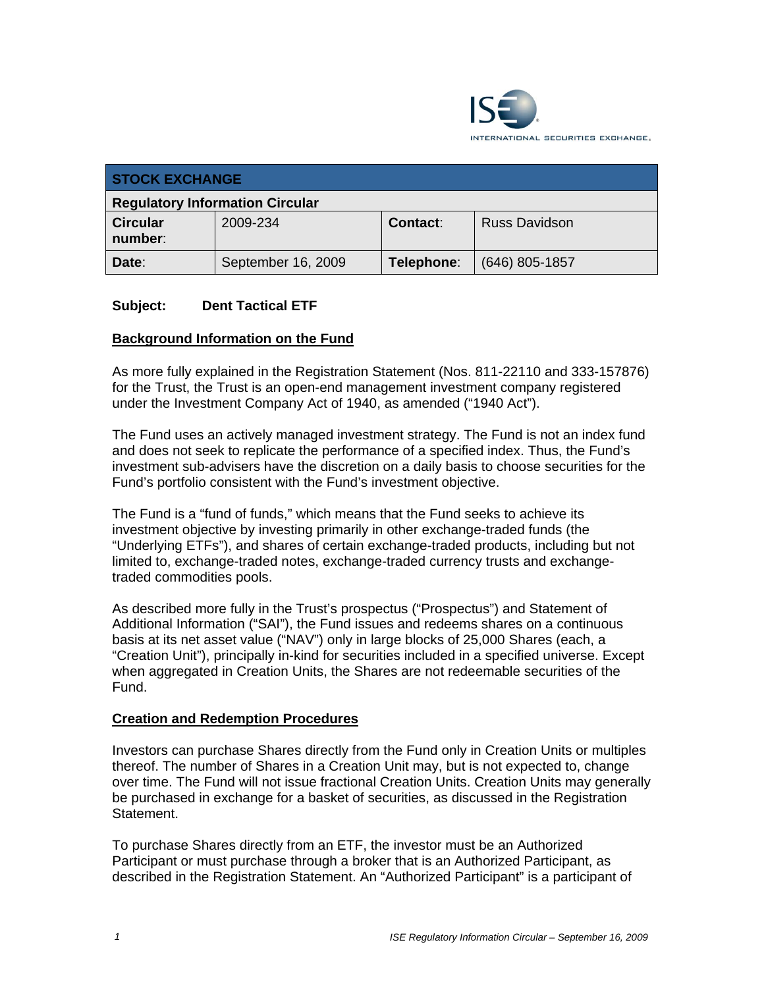

| <b>STOCK EXCHANGE</b>                  |                    |            |                      |
|----------------------------------------|--------------------|------------|----------------------|
| <b>Regulatory Information Circular</b> |                    |            |                      |
| <b>Circular</b><br>number:             | 2009-234           | Contact:   | <b>Russ Davidson</b> |
| Date:                                  | September 16, 2009 | Telephone: | $(646)$ 805-1857     |

### **Subject: Dent Tactical ETF**

#### **Background Information on the Fund**

As more fully explained in the Registration Statement (Nos. 811-22110 and 333-157876) for the Trust, the Trust is an open-end management investment company registered under the Investment Company Act of 1940, as amended ("1940 Act").

The Fund uses an actively managed investment strategy. The Fund is not an index fund and does not seek to replicate the performance of a specified index. Thus, the Fund's investment sub-advisers have the discretion on a daily basis to choose securities for the Fund's portfolio consistent with the Fund's investment objective.

The Fund is a "fund of funds," which means that the Fund seeks to achieve its investment objective by investing primarily in other exchange-traded funds (the "Underlying ETFs"), and shares of certain exchange-traded products, including but not limited to, exchange-traded notes, exchange-traded currency trusts and exchangetraded commodities pools.

As described more fully in the Trust's prospectus ("Prospectus") and Statement of Additional Information ("SAI"), the Fund issues and redeems shares on a continuous basis at its net asset value ("NAV") only in large blocks of 25,000 Shares (each, a "Creation Unit"), principally in-kind for securities included in a specified universe. Except when aggregated in Creation Units, the Shares are not redeemable securities of the Fund.

#### **Creation and Redemption Procedures**

Investors can purchase Shares directly from the Fund only in Creation Units or multiples thereof. The number of Shares in a Creation Unit may, but is not expected to, change over time. The Fund will not issue fractional Creation Units. Creation Units may generally be purchased in exchange for a basket of securities, as discussed in the Registration Statement.

To purchase Shares directly from an ETF, the investor must be an Authorized Participant or must purchase through a broker that is an Authorized Participant, as described in the Registration Statement. An "Authorized Participant" is a participant of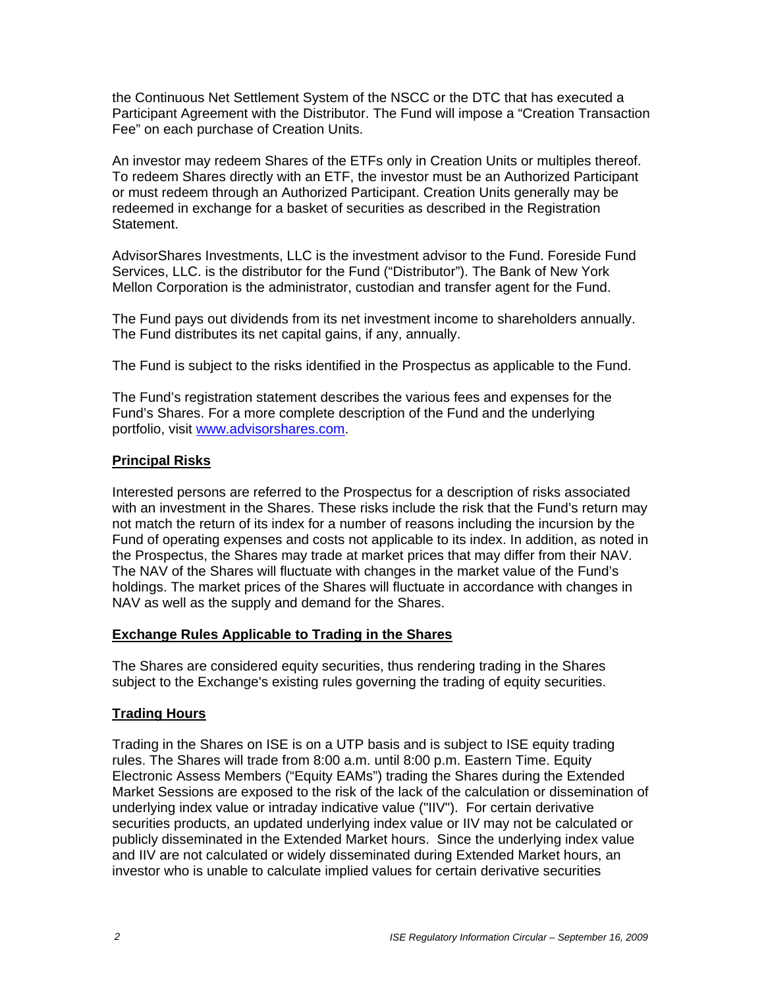the Continuous Net Settlement System of the NSCC or the DTC that has executed a Participant Agreement with the Distributor. The Fund will impose a "Creation Transaction Fee" on each purchase of Creation Units.

An investor may redeem Shares of the ETFs only in Creation Units or multiples thereof. To redeem Shares directly with an ETF, the investor must be an Authorized Participant or must redeem through an Authorized Participant. Creation Units generally may be redeemed in exchange for a basket of securities as described in the Registration Statement.

AdvisorShares Investments, LLC is the investment advisor to the Fund. Foreside Fund Services, LLC. is the distributor for the Fund ("Distributor"). The Bank of New York Mellon Corporation is the administrator, custodian and transfer agent for the Fund.

The Fund pays out dividends from its net investment income to shareholders annually. The Fund distributes its net capital gains, if any, annually.

The Fund is subject to the risks identified in the Prospectus as applicable to the Fund.

The Fund's registration statement describes the various fees and expenses for the Fund's Shares. For a more complete description of the Fund and the underlying portfolio, visit www.advisorshares.com.

### **Principal Risks**

Interested persons are referred to the Prospectus for a description of risks associated with an investment in the Shares. These risks include the risk that the Fund's return may not match the return of its index for a number of reasons including the incursion by the Fund of operating expenses and costs not applicable to its index. In addition, as noted in the Prospectus, the Shares may trade at market prices that may differ from their NAV. The NAV of the Shares will fluctuate with changes in the market value of the Fund's holdings. The market prices of the Shares will fluctuate in accordance with changes in NAV as well as the supply and demand for the Shares.

### **Exchange Rules Applicable to Trading in the Shares**

The Shares are considered equity securities, thus rendering trading in the Shares subject to the Exchange's existing rules governing the trading of equity securities.

### **Trading Hours**

Trading in the Shares on ISE is on a UTP basis and is subject to ISE equity trading rules. The Shares will trade from 8:00 a.m. until 8:00 p.m. Eastern Time. Equity Electronic Assess Members ("Equity EAMs") trading the Shares during the Extended Market Sessions are exposed to the risk of the lack of the calculation or dissemination of underlying index value or intraday indicative value ("IIV"). For certain derivative securities products, an updated underlying index value or IIV may not be calculated or publicly disseminated in the Extended Market hours. Since the underlying index value and IIV are not calculated or widely disseminated during Extended Market hours, an investor who is unable to calculate implied values for certain derivative securities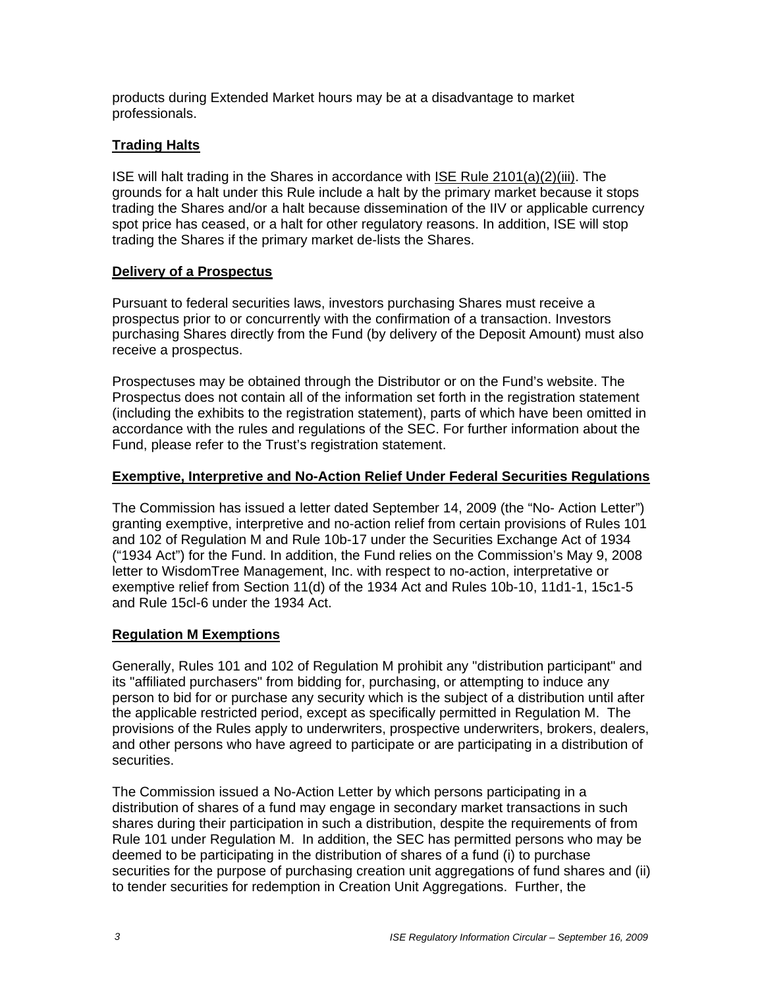products during Extended Market hours may be at a disadvantage to market professionals.

# **Trading Halts**

ISE will halt trading in the Shares in accordance with ISE Rule 2101(a)(2)(iii). The grounds for a halt under this Rule include a halt by the primary market because it stops trading the Shares and/or a halt because dissemination of the IIV or applicable currency spot price has ceased, or a halt for other regulatory reasons. In addition, ISE will stop trading the Shares if the primary market de-lists the Shares.

## **Delivery of a Prospectus**

Pursuant to federal securities laws, investors purchasing Shares must receive a prospectus prior to or concurrently with the confirmation of a transaction. Investors purchasing Shares directly from the Fund (by delivery of the Deposit Amount) must also receive a prospectus.

Prospectuses may be obtained through the Distributor or on the Fund's website. The Prospectus does not contain all of the information set forth in the registration statement (including the exhibits to the registration statement), parts of which have been omitted in accordance with the rules and regulations of the SEC. For further information about the Fund, please refer to the Trust's registration statement.

## **Exemptive, Interpretive and No-Action Relief Under Federal Securities Regulations**

The Commission has issued a letter dated September 14, 2009 (the "No- Action Letter") granting exemptive, interpretive and no-action relief from certain provisions of Rules 101 and 102 of Regulation M and Rule 10b-17 under the Securities Exchange Act of 1934 ("1934 Act") for the Fund. In addition, the Fund relies on the Commission's May 9, 2008 letter to WisdomTree Management, Inc. with respect to no-action, interpretative or exemptive relief from Section 11(d) of the 1934 Act and Rules 10b-10, 11d1-1, 15c1-5 and Rule 15cl-6 under the 1934 Act.

# **Regulation M Exemptions**

Generally, Rules 101 and 102 of Regulation M prohibit any "distribution participant" and its "affiliated purchasers" from bidding for, purchasing, or attempting to induce any person to bid for or purchase any security which is the subject of a distribution until after the applicable restricted period, except as specifically permitted in Regulation M. The provisions of the Rules apply to underwriters, prospective underwriters, brokers, dealers, and other persons who have agreed to participate or are participating in a distribution of securities.

The Commission issued a No-Action Letter by which persons participating in a distribution of shares of a fund may engage in secondary market transactions in such shares during their participation in such a distribution, despite the requirements of from Rule 101 under Regulation M. In addition, the SEC has permitted persons who may be deemed to be participating in the distribution of shares of a fund (i) to purchase securities for the purpose of purchasing creation unit aggregations of fund shares and (ii) to tender securities for redemption in Creation Unit Aggregations. Further, the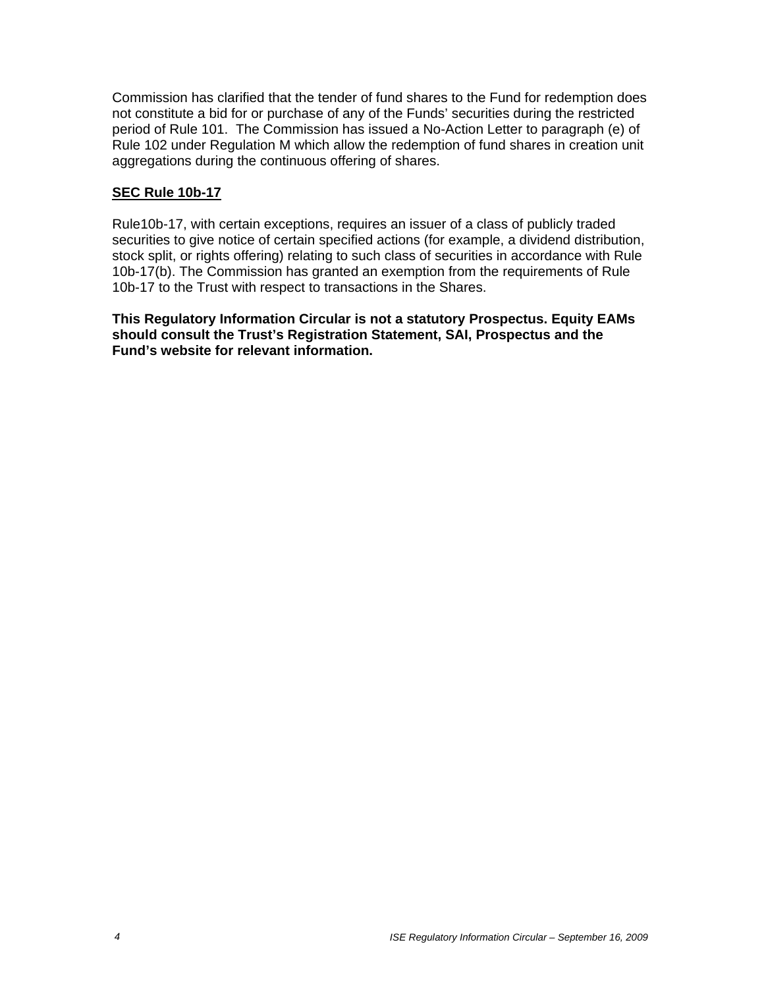Commission has clarified that the tender of fund shares to the Fund for redemption does not constitute a bid for or purchase of any of the Funds' securities during the restricted period of Rule 101. The Commission has issued a No-Action Letter to paragraph (e) of Rule 102 under Regulation M which allow the redemption of fund shares in creation unit aggregations during the continuous offering of shares.

#### **SEC Rule 10b-17**

Rule10b-17, with certain exceptions, requires an issuer of a class of publicly traded securities to give notice of certain specified actions (for example, a dividend distribution, stock split, or rights offering) relating to such class of securities in accordance with Rule 10b-17(b). The Commission has granted an exemption from the requirements of Rule 10b-17 to the Trust with respect to transactions in the Shares.

**This Regulatory Information Circular is not a statutory Prospectus. Equity EAMs should consult the Trust's Registration Statement, SAI, Prospectus and the Fund's website for relevant information.**